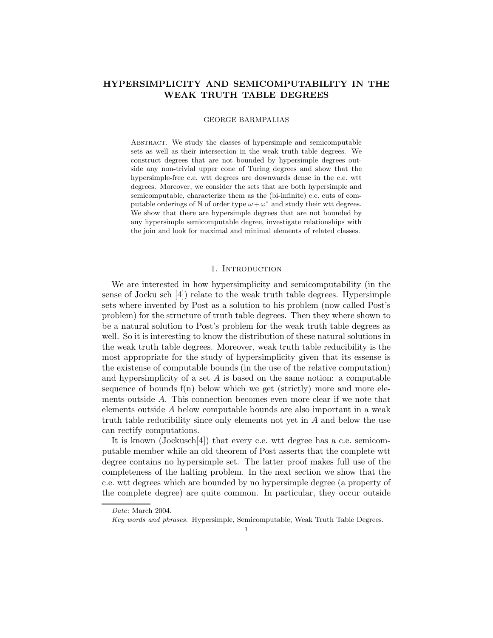# HYPERSIMPLICITY AND SEMICOMPUTABILITY IN THE WEAK TRUTH TABLE DEGREES

#### GEORGE BARMPALIAS

ABSTRACT. We study the classes of hypersimple and semicomputable sets as well as their intersection in the weak truth table degrees. We construct degrees that are not bounded by hypersimple degrees outside any non-trivial upper cone of Turing degrees and show that the hypersimple-free c.e. wtt degrees are downwards dense in the c.e. wtt degrees. Moreover, we consider the sets that are both hypersimple and semicomputable, characterize them as the (bi-infinite) c.e. cuts of computable orderings of N of order type  $\omega + \omega^*$  and study their wtt degrees. We show that there are hypersimple degrees that are not bounded by any hypersimple semicomputable degree, investigate relationships with the join and look for maximal and minimal elements of related classes.

## 1. INTRODUCTION

We are interested in how hypersimplicity and semicomputability (in the sense of Jocku sch [4]) relate to the weak truth table degrees. Hypersimple sets where invented by Post as a solution to his problem (now called Post's problem) for the structure of truth table degrees. Then they where shown to be a natural solution to Post's problem for the weak truth table degrees as well. So it is interesting to know the distribution of these natural solutions in the weak truth table degrees. Moreover, weak truth table reducibility is the most appropriate for the study of hypersimplicity given that its essense is the existense of computable bounds (in the use of the relative computation) and hypersimplicity of a set  $A$  is based on the same notion: a computable sequence of bounds  $f(n)$  below which we get (strictly) more and more elements outside A. This connection becomes even more clear if we note that elements outside A below computable bounds are also important in a weak truth table reducibility since only elements not yet in A and below the use can rectify computations.

It is known (Jockusch[4]) that every c.e. wtt degree has a c.e. semicomputable member while an old theorem of Post asserts that the complete wtt degree contains no hypersimple set. The latter proof makes full use of the completeness of the halting problem. In the next section we show that the c.e. wtt degrees which are bounded by no hypersimple degree (a property of the complete degree) are quite common. In particular, they occur outside

Date: March 2004.

Key words and phrases. Hypersimple, Semicomputable, Weak Truth Table Degrees.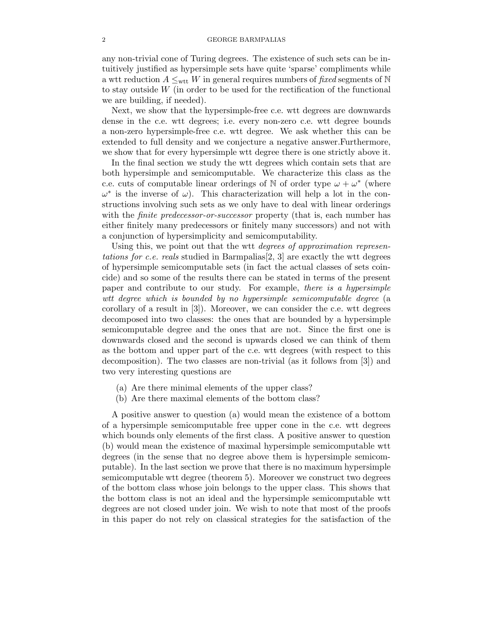any non-trivial cone of Turing degrees. The existence of such sets can be intuitively justified as hypersimple sets have quite 'sparse' compliments while a wtt reduction  $A \leq_{\text{wtt}} W$  in general requires numbers of fixed segments of N to stay outside W (in order to be used for the rectification of the functional we are building, if needed).

Next, we show that the hypersimple-free c.e. wtt degrees are downwards dense in the c.e. wtt degrees; i.e. every non-zero c.e. wtt degree bounds a non-zero hypersimple-free c.e. wtt degree. We ask whether this can be extended to full density and we conjecture a negative answer.Furthermore, we show that for every hypersimple wtt degree there is one strictly above it.

In the final section we study the wtt degrees which contain sets that are both hypersimple and semicomputable. We characterize this class as the c.e. cuts of computable linear orderings of N of order type  $\omega + \omega^*$  (where  $ω^*$  is the inverse of  $ω$ ). This characterization will help a lot in the constructions involving such sets as we only have to deal with linear orderings with the *finite predecessor-or-successor* property (that is, each number has either finitely many predecessors or finitely many successors) and not with a conjunction of hypersimplicity and semicomputability.

Using this, we point out that the wtt *degrees of approximation represen*tations for c.e. reals studied in Barmpalias[2, 3] are exactly the wtt degrees of hypersimple semicomputable sets (in fact the actual classes of sets coincide) and so some of the results there can be stated in terms of the present paper and contribute to our study. For example, there is a hypersimple wtt degree which is bounded by no hypersimple semicomputable degree (a corollary of a result in [3]). Moreover, we can consider the c.e. wtt degrees decomposed into two classes: the ones that are bounded by a hypersimple semicomputable degree and the ones that are not. Since the first one is downwards closed and the second is upwards closed we can think of them as the bottom and upper part of the c.e. wtt degrees (with respect to this decomposition). The two classes are non-trivial (as it follows from [3]) and two very interesting questions are

- (a) Are there minimal elements of the upper class?
- (b) Are there maximal elements of the bottom class?

A positive answer to question (a) would mean the existence of a bottom of a hypersimple semicomputable free upper cone in the c.e. wtt degrees which bounds only elements of the first class. A positive answer to question (b) would mean the existence of maximal hypersimple semicomputable wtt degrees (in the sense that no degree above them is hypersimple semicomputable). In the last section we prove that there is no maximum hypersimple semicomputable wtt degree (theorem 5). Moreover we construct two degrees of the bottom class whose join belongs to the upper class. This shows that the bottom class is not an ideal and the hypersimple semicomputable wtt degrees are not closed under join. We wish to note that most of the proofs in this paper do not rely on classical strategies for the satisfaction of the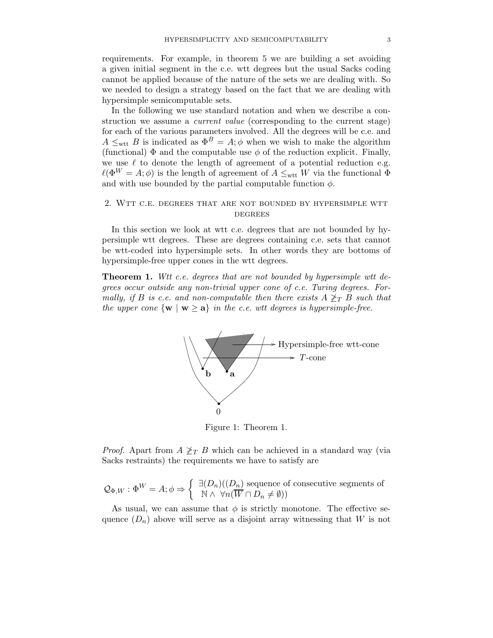requirements. For example, in theorem 5 we are building a set avoiding a given initial segment in the c.e. wtt degrees but the usual Sacks coding cannot be applied because of the nature of the sets we are dealing with. So we needed to design a strategy based on the fact that we are dealing with hypersimple semicomputable sets.

In the following we use standard notation and when we describe a construction we assume a current value (corresponding to the current stage) for each of the various parameters involved. All the degrees will be c.e. and  $A \leq_{\text{wtt}} B$  is indicated as  $\Phi^B = A$ ;  $\phi$  when we wish to make the algorithm (functional)  $\Phi$  and the computable use  $\phi$  of the reduction explicit. Finally, we use  $\ell$  to denote the length of agreement of a potential reduction e.g.  $\ell(\Phi^W = A; \phi)$  is the length of agreement of  $A \leq_{\text{wtt}} W$  via the functional  $\Phi$ and with use bounded by the partial computable function  $\phi$ .

# 2. Wtt c.e. degrees that are not bounded by hypersimple wtt **DEGREES**

In this section we look at wtt c.e. degrees that are not bounded by hypersimple wtt degrees. These are degrees containing c.e. sets that cannot be wtt-coded into hypersimple sets. In other words they are bottoms of hypersimple-free upper cones in the wtt degrees.

**Theorem 1.** Wtt c.e. degrees that are not bounded by hypersimple wtt degrees occur outside any non-trivial upper cone of c.e. Turing degrees. Formally, if B is c.e. and non-computable then there exists  $A \nleq_T B$  such that the upper cone  $\{w \mid w \ge a\}$  in the c.e. with degrees is hypersimple-free.



Figure 1: Theorem 1.

*Proof.* Apart from  $A \not\geq_T B$  which can be achieved in a standard way (via Sacks restraints) the requirements we have to satisfy are

$$
Q_{\Phi,W} : \Phi^W = A; \phi \Rightarrow \left\{ \begin{array}{l} \exists (D_n)((D_n) \text{ sequence of consecutive segments of} \\ \mathbb{N} \land \forall n(\overline{W} \cap D_n \neq \emptyset)) \end{array} \right.
$$

As usual, we can assume that  $\phi$  is strictly monotone. The effective sequence  $(D_n)$  above will serve as a disjoint array witnessing that W is not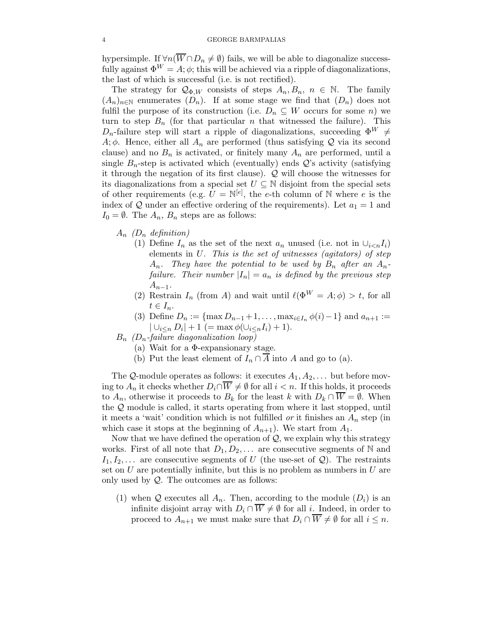hypersimple. If  $\forall n(\overline{W} \cap D_n \neq \emptyset)$  fails, we will be able to diagonalize successfully against  $\Phi^W = A$ ;  $\phi$ ; this will be achieved via a ripple of diagonalizations, the last of which is successful (i.e. is not rectified).

The strategy for  $\mathcal{Q}_{\Phi,W}$  consists of steps  $A_n, B_n, n \in \mathbb{N}$ . The family  $(A_n)_{n\in\mathbb{N}}$  enumerates  $(D_n)$ . If at some stage we find that  $(D_n)$  does not fulfil the purpose of its construction (i.e.  $D_n \subseteq W$  occurs for some n) we turn to step  $B_n$  (for that particular n that witnessed the failure). This  $D_n$ -failure step will start a ripple of diagonalizations, succeeding  $\Phi^W \neq$  $A; \phi$ . Hence, either all  $A_n$  are performed (thus satisfying Q via its second clause) and no  $B_n$  is activated, or finitely many  $A_n$  are performed, until a single  $B_n$ -step is activated which (eventually) ends  $\mathcal{Q}$ 's activity (satisfying it through the negation of its first clause). Q will choose the witnesses for its diagonalizations from a special set  $U \subseteq \mathbb{N}$  disjoint from the special sets of other requirements (e.g.  $U = \mathbb{N}^{[e]}$ , the e-th column of N where e is the index of Q under an effective ordering of the requirements). Let  $a_1 = 1$  and  $I_0 = \emptyset$ . The  $A_n$ ,  $B_n$  steps are as follows:

- $A_n$  ( $D_n$  definition)
	- (1) Define  $I_n$  as the set of the next  $a_n$  unused (i.e. not in  $\cup_{i\leq n} I_i$ ) elements in U. This is the set of witnesses (agitators) of step  $A_n$ . They have the potential to be used by  $B_n$  after an  $A_n$ failure. Their number  $|I_n| = a_n$  is defined by the previous step  $A_{n-1}$ .
	- (2) Restrain  $I_n$  (from A) and wait until  $\ell(\Phi^W = A; \phi) > t$ , for all  $t\in I_n$ .
	- (3) Define  $D_n := \{ \max D_{n-1} + 1, \ldots, \max_{i \in I_n} \phi(i) 1 \}$  and  $a_{n+1} :=$  $|\bigcup_{i\leq n} D_i| + 1 (= \max \phi(\bigcup_{i\leq n} I_i) + 1).$
- $B_n$  (D<sub>n</sub>-failure diagonalization loop)
	- (a) Wait for a Φ-expansionary stage.
	- (b) Put the least element of  $I_n \cap \overline{A}$  into A and go to (a).

The Q-module operates as follows: it executes  $A_1, A_2, \ldots$  but before moving to  $A_n$  it checks whether  $D_i \cap \overline{W} \neq \emptyset$  for all  $i < n$ . If this holds, it proceeds to  $A_n$ , otherwise it proceeds to  $B_k$  for the least k with  $D_k \cap \overline{W} = \hat{\emptyset}$ . When the Q module is called, it starts operating from where it last stopped, until it meets a 'wait' condition which is not fulfilled *or* it finishes an  $A_n$  step (in which case it stops at the beginning of  $A_{n+1}$ ). We start from  $A_1$ .

Now that we have defined the operation of  $Q$ , we explain why this strategy works. First of all note that  $D_1, D_2, \ldots$  are consecutive segments of N and  $I_1, I_2, \ldots$  are consecutive segments of U (the use-set of Q). The restraints set on  $U$  are potentially infinite, but this is no problem as numbers in  $U$  are only used by  $Q$ . The outcomes are as follows:

(1) when Q executes all  $A_n$ . Then, according to the module  $(D_i)$  is an infinite disjoint array with  $D_i \cap \overline{W} \neq \emptyset$  for all i. Indeed, in order to proceed to  $A_{n+1}$  we must make sure that  $D_i \cap \overline{W} \neq \emptyset$  for all  $i \leq n$ .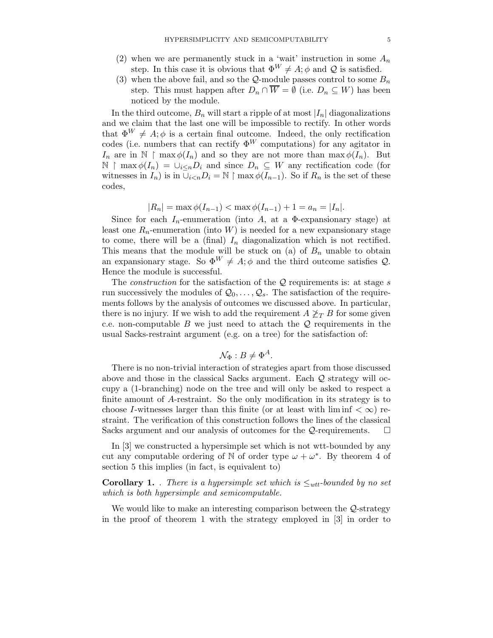- (2) when we are permanently stuck in a 'wait' instruction in some  $A_n$ step. In this case it is obvious that  $\Phi^W \neq A$ ;  $\phi$  and  $\mathcal Q$  is satisfied.
- (3) when the above fail, and so the  $\mathcal{Q}$ -module passes control to some  $B_n$ step. This must happen after  $D_n \cap \overline{W} = \emptyset$  (i.e.  $D_n \subseteq W$ ) has been noticed by the module.

In the third outcome,  $B_n$  will start a ripple of at most  $|I_n|$  diagonalizations and we claim that the last one will be impossible to rectify. In other words that  $\Phi^W \neq A$ ;  $\phi$  is a certain final outcome. Indeed, the only rectification codes (i.e. numbers that can rectify  $\Phi^W$  computations) for any agitator in  $I_n$  are in  $\mathbb{N} \restriction \max \phi(I_n)$  and so they are not more than  $\max \phi(I_n)$ . But  $\mathbb{N} \restriction \max \phi(I_n) = \bigcup_{i \leq n} D_i$  and since  $D_n \subseteq W$  any rectification code (for witnesses in  $I_n$ ) is in  $\bigcup_{i\leq n}D_i=\mathbb{N}\restriction \max\phi(I_{n-1})$ . So if  $R_n$  is the set of these codes,

$$
|R_n| = \max \phi(I_{n-1}) < \max \phi(I_{n-1}) + 1 = a_n = |I_n|.
$$

Since for each  $I_n$ -enumeration (into A, at a  $\Phi$ -expansionary stage) at least one  $R_n$ -enumeration (into W) is needed for a new expansionary stage to come, there will be a (final)  $I_n$  diagonalization which is not rectified. This means that the module will be stuck on (a) of  $B_n$  unable to obtain an expansionary stage. So  $\Phi^W \neq A$ ;  $\phi$  and the third outcome satisfies  $\mathcal{Q}$ . Hence the module is successful.

The *construction* for the satisfaction of the  $Q$  requirements is: at stage  $s$ run successively the modules of  $\mathcal{Q}_0, \ldots, \mathcal{Q}_s$ . The satisfaction of the requirements follows by the analysis of outcomes we discussed above. In particular, there is no injury. If we wish to add the requirement  $A \not\geq_T B$  for some given c.e. non-computable  $B$  we just need to attach the  $Q$  requirements in the usual Sacks-restraint argument (e.g. on a tree) for the satisfaction of:

$$
\mathcal{N}_{\Phi}:B\neq \Phi^{A}.
$$

There is no non-trivial interaction of strategies apart from those discussed above and those in the classical Sacks argument. Each Q strategy will occupy a (1-branching) node on the tree and will only be asked to respect a finite amount of A-restraint. So the only modification in its strategy is to choose I-witnesses larger than this finite (or at least with  $\liminf < \infty$ ) restraint. The verification of this construction follows the lines of the classical Sacks argument and our analysis of outcomes for the  $\mathcal{Q}$ -requirements.  $\Box$ 

In [3] we constructed a hypersimple set which is not wtt-bounded by any cut any computable ordering of N of order type  $\omega + \omega^*$ . By theorem 4 of section 5 this implies (in fact, is equivalent to)

**Corollary 1.** . There is a hypersimple set which is  $\leq_{wtt}$ -bounded by no set which is both hypersimple and semicomputable.

We would like to make an interesting comparison between the  $Q$ -strategy in the proof of theorem 1 with the strategy employed in [3] in order to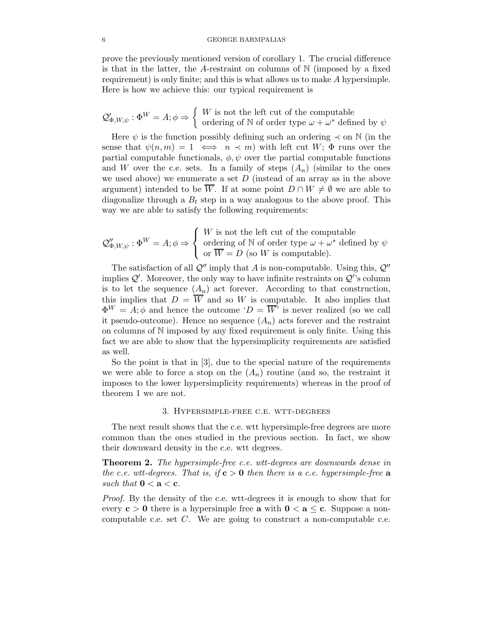prove the previously mentioned version of corollary 1. The crucial difference is that in the latter, the A-restraint on columns of  $\mathbb N$  (imposed by a fixed requirement) is only finite; and this is what allows us to make A hypersimple. Here is how we achieve this: our typical requirement is

$$
\mathcal{Q}'_{\Phi,W,\psi}: \Phi^W = A; \phi \Rightarrow \left\{ \begin{array}{c} W \text{ is not the left cut of the computable} \\ \text{ordering of } \mathbb{N} \text{ of order type } \omega + \omega^* \text{ defined by } \psi \end{array} \right.
$$

Here  $\psi$  is the function possibly defining such an ordering  $\prec$  on N (in the sense that  $\psi(n,m) = 1 \iff n \prec m$  with left cut  $W$ ;  $\Phi$  runs over the partial computable functionals,  $\phi, \psi$  over the partial computable functions and W over the c.e. sets. In a family of steps  $(A_n)$  (similar to the ones we used above) we enumerate a set  $D$  (instead of an array as in the above argument) intended to be  $\overline{W}$ . If at some point  $D \cap W \neq \emptyset$  we are able to diagonalize through a  $B_t$  step in a way analogous to the above proof. This way we are able to satisfy the following requirements:

$$
\mathcal{Q}_{\Phi,W,\psi}'' : \Phi^W = A; \phi \Rightarrow \left\{ \begin{array}{l} W \text{ is not the left cut of the computable} \\ \text{ordering of } \mathbb{N} \text{ of order type } \omega + \omega^* \text{ defined by } \psi \\ \text{or } \overline{W} = D \text{ (so } W \text{ is computable).} \end{array} \right.
$$

The satisfaction of all  $\mathcal{Q}''$  imply that A is non-computable. Using this,  $\mathcal{Q}''$ implies  $Q'$ . Moreover, the only way to have infinite restraints on  $Q'$ 's column is to let the sequence  $(A_n)$  act forever. According to that construction, this implies that  $D = \overline{W}$  and so W is computable. It also implies that  $\Phi^W = A; \phi$  and hence the outcome ' $D = \overline{W}$ ' is never realized (so we call it pseudo-outcome). Hence no sequence  $(A_n)$  acts forever and the restraint on columns of N imposed by any fixed requirement is only finite. Using this fact we are able to show that the hypersimplicity requirements are satisfied as well.

So the point is that in [3], due to the special nature of the requirements we were able to force a stop on the  $(A_n)$  routine (and so, the restraint it imposes to the lower hypersimplicity requirements) whereas in the proof of theorem 1 we are not.

#### 3. Hypersimple-free c.e. wtt-degrees

The next result shows that the c.e. wtt hypersimple-free degrees are more common than the ones studied in the previous section. In fact, we show their downward density in the c.e. wtt degrees.

**Theorem 2.** The hypersimple-free c.e. wtt-degrees are downwards dense in the c.e. wtt-degrees. That is, if  $c > 0$  then there is a c.e. hypersimple-free a such that  $0 < a < c$ .

Proof. By the density of the c.e. wtt-degrees it is enough to show that for every  $c > 0$  there is a hypersimple free **a** with  $0 < a \leq c$ . Suppose a noncomputable c.e. set  $C$ . We are going to construct a non-computable c.e.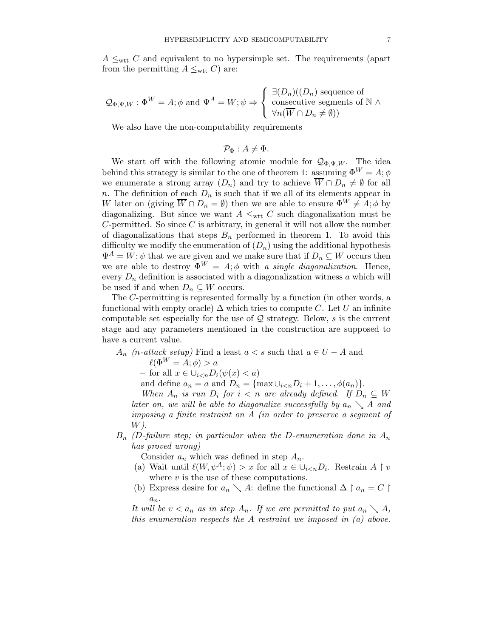$A \leq_{\text{wtt}} C$  and equivalent to no hypersimple set. The requirements (apart from the permitting  $A \leq_{\text{wtt}} C$  are:

$$
Q_{\Phi,\Psi,W} : \Phi^W = A; \phi \text{ and } \Psi^A = W; \psi \Rightarrow \begin{cases} \exists (D_n)((D_n) \text{ sequence of} \\ \text{consecutive segments of } \mathbb{N} \land \\ \forall n(\overline{W} \cap D_n \neq \emptyset)) \end{cases}
$$

We also have the non-computability requirements

$$
\mathcal{P}_{\Phi}: A \neq \Phi.
$$

We start off with the following atomic module for  $\mathcal{Q}_{\Phi,\Psi,W}$ . The idea behind this strategy is similar to the one of theorem 1: assuming  $\Phi^W = A; \phi$ we enumerate a strong array  $(D_n)$  and try to achieve  $\overline{W} \cap D_n \neq \emptyset$  for all n. The definition of each  $D_n$  is such that if we all of its elements appear in W later on (giving  $\overline{W} \cap D_n = \emptyset$ ) then we are able to ensure  $\Phi^W \neq A$ ;  $\phi$  by diagonalizing. But since we want  $A \leq_{\text{wtt}} C$  such diagonalization must be  $C$ -permitted. So since  $C$  is arbitrary, in general it will not allow the number of diagonalizations that steps  $B_n$  performed in theorem 1. To avoid this difficulty we modify the enumeration of  $(D_n)$  using the additional hypothesis  $\Psi^A = W$ ;  $\psi$  that we are given and we make sure that if  $D_n \subseteq W$  occurs then we are able to destroy  $\Phi^W = A; \phi$  with a single diagonalization. Hence, every  $D_n$  definition is associated with a diagonalization witness a which will be used if and when  $D_n \subseteq W$  occurs.

The C-permitting is represented formally by a function (in other words, a functional with empty oracle)  $\Delta$  which tries to compute C. Let U an infinite computable set especially for the use of  $Q$  strategy. Below, s is the current stage and any parameters mentioned in the construction are supposed to have a current value.

 $A_n$  (n-attack setup) Find a least  $a < s$  such that  $a \in U - A$  and  $-\ell(\Phi^W = A; \phi) > a$ 

– for all  $x \in \bigcup_{i \le n} D_i(\psi(x) \le a)$ 

and define  $a_n = a$  and  $D_n = {\max \cup_{i < n} D_i + 1, \ldots, \phi(a_n)}$ .

When  $A_n$  is run  $D_i$  for  $i < n$  are already defined. If  $D_n \subseteq W$ later on, we will be able to diagonalize successfully by  $a_n \setminus A$  and imposing a finite restraint on A (in order to preserve a segment of W).

 $B_n$  (D-failure step; in particular when the D-enumeration done in  $A_n$ has proved wrong)

Consider  $a_n$  which was defined in step  $A_n$ .

- (a) Wait until  $\ell(W, \psi^A; \psi) > x$  for all  $x \in \bigcup_{i \leq n} D_i$ . Restrain  $A \restriction v$ where  $v$  is the use of these computations.
- (b) Express desire for  $a_n \searrow A$ : define the functional  $\Delta \upharpoonright a_n = C \upharpoonright$  $a_n$ .

It will be  $v < a_n$  as in step  $A_n$ . If we are permitted to put  $a_n \searrow A$ , this enumeration respects the A restraint we imposed in (a) above.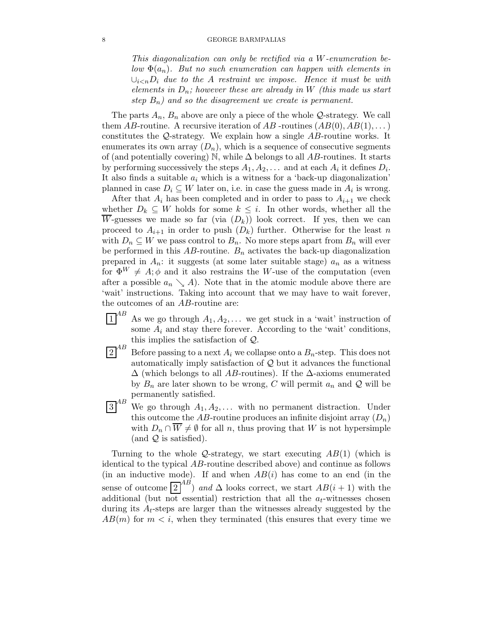This diagonalization can only be rectified via a W-enumeration below  $\Phi(a_n)$ . But no such enumeration can happen with elements in  $\cup_{i\leq n}D_i$  due to the A restraint we impose. Hence it must be with elements in  $D_n$ ; however these are already in W (this made us start step  $B_n$ ) and so the disagreement we create is permanent.

The parts  $A_n$ ,  $B_n$  above are only a piece of the whole  $\mathcal{Q}\text{-strategy}$ . We call them AB-routine. A recursive iteration of AB-routines  $(AB(0),AB(1),\dots)$ constitutes the Q-strategy. We explain how a single AB-routine works. It enumerates its own array  $(D_n)$ , which is a sequence of consecutive segments of (and potentially covering) N, while  $\Delta$  belongs to all AB-routines. It starts by performing successively the steps  $A_1, A_2, \ldots$  and at each  $A_i$  it defines  $D_i$ . It also finds a suitable  $a_i$  which is a witness for a 'back-up diagonalization' planned in case  $D_i \subseteq W$  later on, i.e. in case the guess made in  $A_i$  is wrong.

After that  $A_i$  has been completed and in order to pass to  $A_{i+1}$  we check whether  $D_k \subseteq W$  holds for some  $k \leq i$ . In other words, whether all the W-guesses we made so far (via  $(D_k)$ ) look correct. If yes, then we can proceed to  $A_{i+1}$  in order to push  $(D_k)$  further. Otherwise for the least n with  $D_n \subseteq W$  we pass control to  $B_n$ . No more steps apart from  $B_n$  will ever be performed in this  $AB$ -routine.  $B_n$  activates the back-up diagonalization prepared in  $A_n$ : it suggests (at some later suitable stage)  $a_n$  as a witness for  $\Phi^W \neq A$ ;  $\phi$  and it also restrains the W-use of the computation (even after a possible  $a_n \searrow A$ ). Note that in the atomic module above there are 'wait' instructions. Taking into account that we may have to wait forever, the outcomes of an AB-routine are:

- $\sqrt{1}^{AB}$ As we go through  $A_1, A_2, \ldots$  we get stuck in a 'wait' instruction of some  $A_i$  and stay there forever. According to the 'wait' conditions, this implies the satisfaction of Q.
- $\boxed{2}^{AB}$ Before passing to a next  $A_i$  we collapse onto a  $B_n$ -step. This does not automatically imply satisfaction of Q but it advances the functional  $\Delta$  (which belongs to all AB-routines). If the  $\Delta$ -axioms enumerated by  $B_n$  are later shown to be wrong, C will permit  $a_n$  and Q will be permanently satisfied.
- $3^{AB}$ We go through  $A_1, A_2, \ldots$  with no permanent distraction. Under this outcome the AB-routine produces an infinite disjoint array  $(D_n)$ with  $D_n \cap \overline{W} \neq \emptyset$  for all n, thus proving that W is not hypersimple  $($ and  $Q$  is satisfied).

Turning to the whole  $Q$ -strategy, we start executing  $AB(1)$  (which is identical to the typical AB-routine described above) and continue as follows (in an inductive mode). If and when  $AB(i)$  has come to an end (in the sense of outcome  $\boxed{2}^{AB}$  and  $\Delta$  looks correct, we start  $AB(i + 1)$  with the additional (but not essential) restriction that all the  $a_t$ -witnesses chosen during its  $A_t$ -steps are larger than the witnesses already suggested by the  $AB(m)$  for  $m < i$ , when they terminated (this ensures that every time we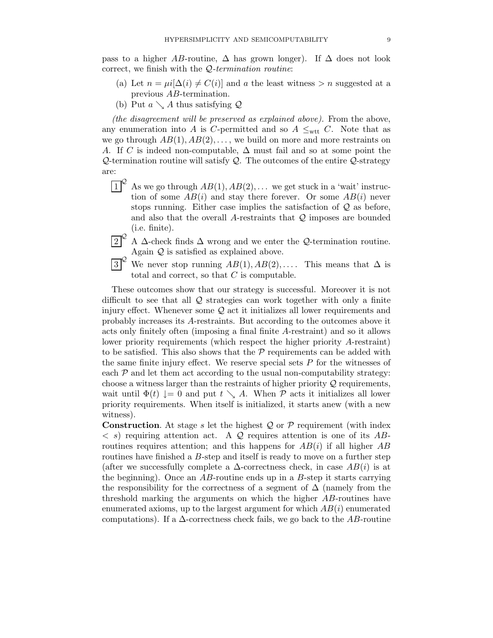pass to a higher AB-routine,  $\Delta$  has grown longer). If  $\Delta$  does not look correct, we finish with the Q-termination routine:

- (a) Let  $n = \mu i[\Delta(i) \neq C(i)]$  and a the least witness > n suggested at a previous AB-termination.
- (b) Put  $a \setminus A$  thus satisfying Q

(the disagreement will be preserved as explained above). From the above, any enumeration into A is C-permitted and so  $A \leq_{\text{wtt}} C$ . Note that as we go through  $AB(1),AB(2),\ldots$ , we build on more and more restraints on A. If C is indeed non-computable,  $\Delta$  must fail and so at some point the  $\mathcal{Q}$ -termination routine will satisfy  $\mathcal{Q}$ . The outcomes of the entire  $\mathcal{Q}$ -strategy are:

- $1^{\mathcal{Q}}$  As we go through  $AB(1), AB(2), \ldots$  we get stuck in a 'wait' instruction of some  $AB(i)$  and stay there forever. Or some  $AB(i)$  never stops running. Either case implies the satisfaction of  $\mathcal Q$  as before, and also that the overall A-restraints that  $\mathcal Q$  imposes are bounded (i.e. finite).
- $\overline{2}$ <sup>2</sup>

A  $\Delta$ -check finds  $\Delta$  wrong and we enter the  $\mathcal Q$ -termination routine. Again  $\mathcal Q$  is satisfied as explained above.

 $\overline{3}$ <sup>Q</sup> We never stop running  $AB(1), AB(2), \ldots$ . This means that  $\Delta$  is total and correct, so that  $C$  is computable.

These outcomes show that our strategy is successful. Moreover it is not difficult to see that all  $Q$  strategies can work together with only a finite injury effect. Whenever some Q act it initializes all lower requirements and probably increases its A-restraints. But according to the outcomes above it acts only finitely often (imposing a final finite A-restraint) and so it allows lower priority requirements (which respect the higher priority A-restraint) to be satisfied. This also shows that the  $\mathcal P$  requirements can be added with the same finite injury effect. We reserve special sets  $P$  for the witnesses of each  $\mathcal P$  and let them act according to the usual non-computability strategy: choose a witness larger than the restraints of higher priority Q requirements, wait until  $\Phi(t) \downarrow = 0$  and put  $t \searrow A$ . When P acts it initializes all lower priority requirements. When itself is initialized, it starts anew (with a new witness).

**Construction.** At stage s let the highest  $Q$  or  $P$  requirement (with index  $\langle s \rangle$  requiring attention act. A Q requires attention is one of its ABroutines requires attention; and this happens for  $AB(i)$  if all higher AB routines have finished a B-step and itself is ready to move on a further step (after we successfully complete a  $\Delta$ -correctness check, in case  $AB(i)$  is at the beginning). Once an  $AB$ -routine ends up in a  $B$ -step it starts carrying the responsibility for the correctness of a segment of  $\Delta$  (namely from the threshold marking the arguments on which the higher AB-routines have enumerated axioms, up to the largest argument for which  $AB(i)$  enumerated computations). If a  $\Delta$ -correctness check fails, we go back to the AB-routine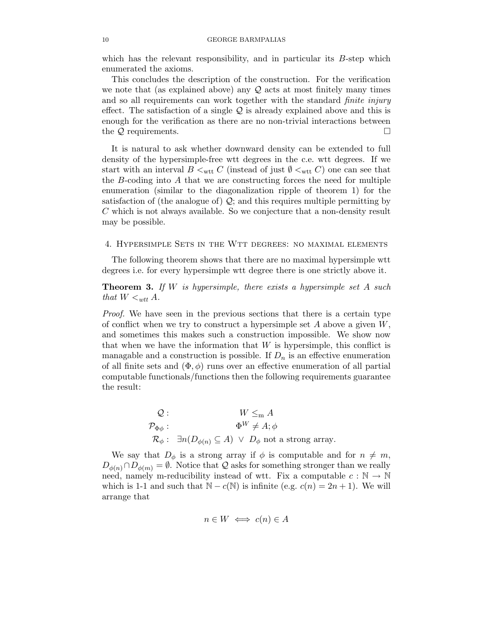which has the relevant responsibility, and in particular its  $B$ -step which enumerated the axioms.

This concludes the description of the construction. For the verification we note that (as explained above) any  $Q$  acts at most finitely many times and so all requirements can work together with the standard *finite injury* effect. The satisfaction of a single  $\mathcal Q$  is already explained above and this is enough for the verification as there are no non-trivial interactions between the  $Q$  requirements.

It is natural to ask whether downward density can be extended to full density of the hypersimple-free wtt degrees in the c.e. wtt degrees. If we start with an interval  $B \nless_{\text{wtt}} C$  (instead of just  $\emptyset \nless_{\text{wtt}} C$ ) one can see that the B-coding into A that we are constructing forces the need for multiple enumeration (similar to the diagonalization ripple of theorem 1) for the satisfaction of (the analogue of)  $\mathcal{Q}$ ; and this requires multiple permitting by C which is not always available. So we conjecture that a non-density result may be possible.

#### 4. Hypersimple Sets in the Wtt degrees: no maximal elements

The following theorem shows that there are no maximal hypersimple wtt degrees i.e. for every hypersimple wtt degree there is one strictly above it.

**Theorem 3.** If W is hypersimple, there exists a hypersimple set  $A$  such that  $W \leq_{wtt} A$ .

Proof. We have seen in the previous sections that there is a certain type of conflict when we try to construct a hypersimple set  $A$  above a given  $W$ , and sometimes this makes such a construction impossible. We show now that when we have the information that  $W$  is hypersimple, this conflict is managable and a construction is possible. If  $D_n$  is an effective enumeration of all finite sets and  $(\Phi, \phi)$  runs over an effective enumeration of all partial computable functionals/functions then the following requirements guarantee the result:

$$
Q: \t W \leq_m A
$$
  
\n
$$
\mathcal{P}_{\Phi\phi}: \t \Phi^W \neq A; \phi
$$
  
\n
$$
\mathcal{R}_{\phi}: \exists n(D_{\phi(n)} \subseteq A) \lor D_{\phi} \text{ not a strong array.}
$$

We say that  $D_{\phi}$  is a strong array if  $\phi$  is computable and for  $n \neq m$ ,  $D_{\phi(n)} \cap D_{\phi(m)} = \emptyset$ . Notice that Q asks for something stronger than we really need, namely m-reducibility instead of wtt. Fix a computable  $c : \mathbb{N} \to \mathbb{N}$ which is 1-1 and such that  $N - c(N)$  is infinite (e.g.  $c(n) = 2n + 1$ ). We will arrange that

$$
n \in W \iff c(n) \in A
$$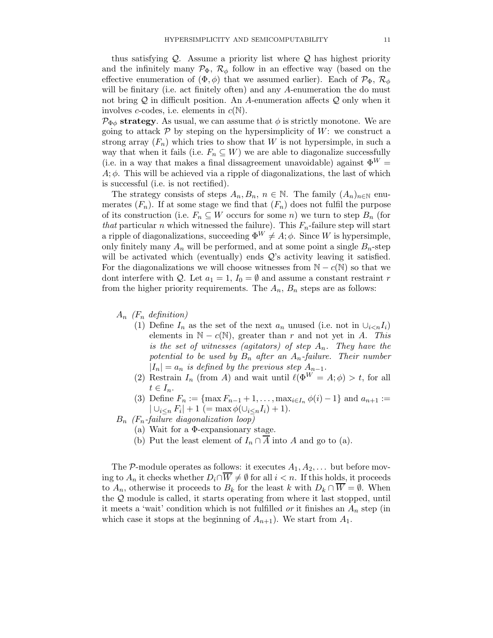thus satisfying  $Q$ . Assume a priority list where  $Q$  has highest priority and the infinitely many  $\mathcal{P}_{\Phi}$ ,  $\mathcal{R}_{\phi}$  follow in an effective way (based on the effective enumeration of  $(\Phi, \phi)$  that we assumed earlier). Each of  $\mathcal{P}_{\Phi}$ ,  $\mathcal{R}_{\phi}$ will be finitary (i.e. act finitely often) and any A-enumeration the do must not bring  $Q$  in difficult position. An A-enumeration affects  $Q$  only when it involves *c*-codes, i.e. elements in  $c(\mathbb{N})$ .

 $\mathcal{P}_{\Phi\phi}$  strategy. As usual, we can assume that  $\phi$  is strictly monotone. We are going to attack  $P$  by steping on the hypersimplicity of  $W$ : we construct a strong array  $(F_n)$  which tries to show that W is not hypersimple, in such a way that when it fails (i.e.  $F_n \subseteq W$ ) we are able to diagonalize successfully (i.e. in a way that makes a final dissagreement unavoidable) against  $\Phi^W =$  $A; \phi$ . This will be achieved via a ripple of diagonalizations, the last of which is successful (i.e. is not rectified).

The strategy consists of steps  $A_n, B_n, n \in \mathbb{N}$ . The family  $(A_n)_{n \in \mathbb{N}}$  enumerates  $(F_n)$ . If at some stage we find that  $(F_n)$  does not fulfil the purpose of its construction (i.e.  $F_n \subseteq W$  occurs for some n) we turn to step  $B_n$  (for that particular n which witnessed the failure). This  $F_n$ -failure step will start a ripple of diagonalizations, succeeding  $\Phi^W \neq A$ ;  $\phi$ . Since W is hypersimple, only finitely many  $A_n$  will be performed, and at some point a single  $B_n$ -step will be activated which (eventually) ends  $\mathcal{Q}$ 's activity leaving it satisfied. For the diagonalizations we will choose witnesses from  $N - c(N)$  so that we dont interfere with Q. Let  $a_1 = 1$ ,  $I_0 = \emptyset$  and assume a constant restraint r from the higher priority requirements. The  $A_n$ ,  $B_n$  steps are as follows:

- $A_n$  ( $F_n$  definition)
	- (1) Define  $I_n$  as the set of the next  $a_n$  unused (i.e. not in  $\cup_{i\leq n} I_i$ ) elements in  $\mathbb{N} - c(\mathbb{N})$ , greater than r and not yet in A. This is the set of witnesses (agitators) of step  $A_n$ . They have the potential to be used by  $B_n$  after an  $A_n$ -failure. Their number  $|I_n| = a_n$  is defined by the previous step  $A_{n-1}$ .
	- (2) Restrain  $I_n$  (from A) and wait until  $\ell(\Phi^W = A; \phi) > t$ , for all  $t\in I_n$ .
	- (3) Define  $F_n := \{ \max F_{n-1} + 1, \ldots, \max_{i \in I_n} \phi(i) 1 \}$  and  $a_{n+1} :=$  $|\bigcup_{i\leq n} F_i| + 1 (= \max \phi(\bigcup_{i\leq n} I_i) + 1).$
- $B_n$  ( $F_n$ -failure diagonalization loop)
	- (a) Wait for a Φ-expansionary stage.
	- (b) Put the least element of  $I_n \cap \overline{A}$  into A and go to (a).

The P-module operates as follows: it executes  $A_1, A_2, \ldots$  but before moving to  $A_n$  it checks whether  $D_i \cap \overline{W} \neq \emptyset$  for all  $i < n$ . If this holds, it proceeds to  $A_n$ , otherwise it proceeds to  $B_k$  for the least k with  $D_k \cap \overline{W} = \emptyset$ . When the Q module is called, it starts operating from where it last stopped, until it meets a 'wait' condition which is not fulfilled *or* it finishes an  $A_n$  step (in which case it stops at the beginning of  $A_{n+1}$ ). We start from  $A_1$ .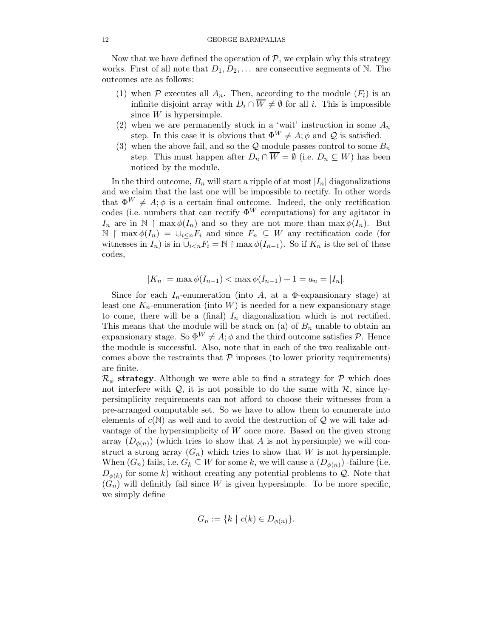Now that we have defined the operation of  $P$ , we explain why this strategy works. First of all note that  $D_1, D_2, \ldots$  are consecutive segments of N. The outcomes are as follows:

- (1) when  $P$  executes all  $A_n$ . Then, according to the module  $(F_i)$  is an infinite disjoint array with  $D_i \cap \overline{W} \neq \emptyset$  for all i. This is impossible since  $W$  is hypersimple.
- (2) when we are permanently stuck in a 'wait' instruction in some  $A_n$ step. In this case it is obvious that  $\Phi^W \neq A$ ;  $\phi$  and  $\mathcal Q$  is satisfied.
- (3) when the above fail, and so the  $\mathcal{Q}$ -module passes control to some  $B_n$ step. This must happen after  $D_n \cap \overline{W} = \emptyset$  (i.e.  $D_n \subseteq W$ ) has been noticed by the module.

In the third outcome,  $B_n$  will start a ripple of at most  $|I_n|$  diagonalizations and we claim that the last one will be impossible to rectify. In other words that  $\Phi^W \neq A; \phi$  is a certain final outcome. Indeed, the only rectification codes (i.e. numbers that can rectify  $\Phi^W$  computations) for any agitator in  $I_n$  are in  $\mathbb{N} \restriction \max \phi(I_n)$  and so they are not more than  $\max \phi(I_n)$ . But  $\mathbb{N} \restriction \max \phi(I_n) = \bigcup_{i \leq n} F_i$  and since  $F_n \subseteq W$  any rectification code (for witnesses in  $I_n$ ) is in  $\bigcup_{i\leq n}F_i=\mathbb{N}\restriction \max\phi(I_{n-1})$ . So if  $K_n$  is the set of these codes,

$$
|K_n| = \max \phi(I_{n-1}) < \max \phi(I_{n-1}) + 1 = a_n = |I_n|.
$$

Since for each  $I_n$ -enumeration (into A, at a  $\Phi$ -expansionary stage) at least one  $K_n$ -enumeration (into W) is needed for a new expansionary stage to come, there will be a (final)  $I_n$  diagonalization which is not rectified. This means that the module will be stuck on (a) of  $B_n$  unable to obtain an expansionary stage. So  $\Phi^W \neq A$ ;  $\phi$  and the third outcome satisfies P. Hence the module is successful. Also, note that in each of the two realizable outcomes above the restraints that  $P$  imposes (to lower priority requirements) are finite.

 $\mathcal{R}_{\phi}$  strategy. Although we were able to find a strategy for  $\mathcal P$  which does not interfere with  $Q$ , it is not possible to do the same with  $R$ , since hypersimplicity requirements can not afford to choose their witnesses from a pre-arranged computable set. So we have to allow them to enumerate into elements of  $c(N)$  as well and to avoid the destruction of Q we will take advantage of the hypersimplicity of W once more. Based on the given strong array  $(D_{\phi(n)})$  (which tries to show that A is not hypersimple) we will construct a strong array  $(G_n)$  which tries to show that W is not hypersimple. When  $(G_n)$  fails, i.e.  $G_k \subseteq W$  for some k, we will cause a  $(D_{\phi(n)})$  -failure (i.e.  $D_{\phi(k)}$  for some k) without creating any potential problems to Q. Note that  $(G_n)$  will definitly fail since W is given hypersimple. To be more specific, we simply define

$$
G_n := \{ k \mid c(k) \in D_{\phi(n)} \}.
$$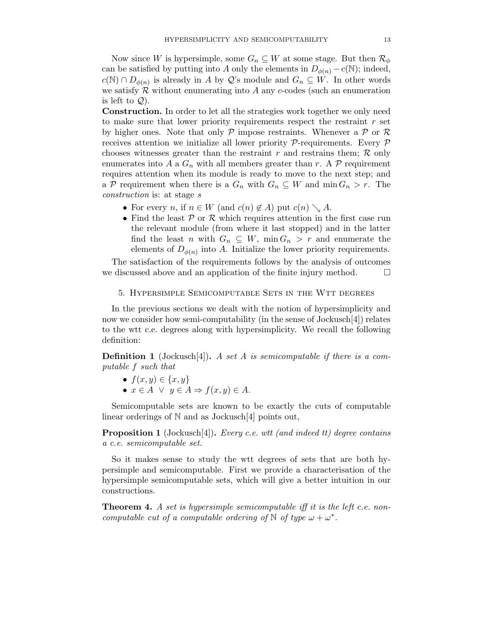Now since W is hypersimple, some  $G_n \subseteq W$  at some stage. But then  $\mathcal{R}_{\phi}$ can be satisfied by putting into A only the elements in  $D_{\phi(n)} - c(\mathbb{N})$ ; indeed,  $c(\mathbb{N}) \cap D_{\phi(n)}$  is already in A by Q's module and  $G_n \subseteq W$ . In other words we satisfy  $R$  without enumerating into  $A$  any  $c$ -codes (such an enumeration is left to  $Q$ ).

Construction. In order to let all the strategies work together we only need to make sure that lower priority requirements respect the restraint  $r$  set by higher ones. Note that only  $P$  impose restraints. Whenever a  $P$  or  $R$ receives attention we initialize all lower priority  $\mathcal{P}$ -requirements. Every  $\mathcal{P}$ chooses witnesses greater than the restraint r and restrains them;  $R$  only enumerates into A a  $G_n$  with all members greater than r. A P requirement requires attention when its module is ready to move to the next step; and a P requirement when there is a  $G_n$  with  $G_n \subseteq W$  and  $\min G_n > r$ . The construction is: at stage s

- For every n, if  $n \in W$  (and  $c(n) \notin A$ ) put  $c(n) \setminus A$ .
- Find the least  $P$  or  $R$  which requires attention in the first case run the relevant module (from where it last stopped) and in the latter find the least n with  $G_n \subseteq W$ , min  $G_n > r$  and enumerate the elements of  $D_{\phi(n)}$  into A. Initialize the lower priority requirements.

The satisfaction of the requirements follows by the analysis of outcomes we discussed above and an application of the finite injury method.  $\Box$ 

5. Hypersimple Semicomputable Sets in the Wtt degrees

In the previous sections we dealt with the notion of hypersimplicity and now we consider how semi-computability (in the sense of Jockusch[4]) relates to the wtt c.e. degrees along with hypersimplicity. We recall the following definition:

**Definition 1** (Jockusch[4]). A set A is semicomputable if there is a computable f such that

- $f(x,y) \in \{x,y\}$
- $x \in A \lor y \in A \Rightarrow f(x, y) \in A$ .

Semicomputable sets are known to be exactly the cuts of computable linear orderings of N and as Jockusch[4] points out,

**Proposition 1** (Jockusch<sup>[4]</sup>). Every c.e. wtt (and indeed tt) degree contains a c.e. semicomputable set.

So it makes sense to study the wtt degrees of sets that are both hypersimple and semicomputable. First we provide a characterisation of the hypersimple semicomputable sets, which will give a better intuition in our constructions.

**Theorem 4.** A set is hypersimple semicomputable iff it is the left c.e. noncomputable cut of a computable ordering of  $\mathbb N$  of type  $\omega + \omega^*$ .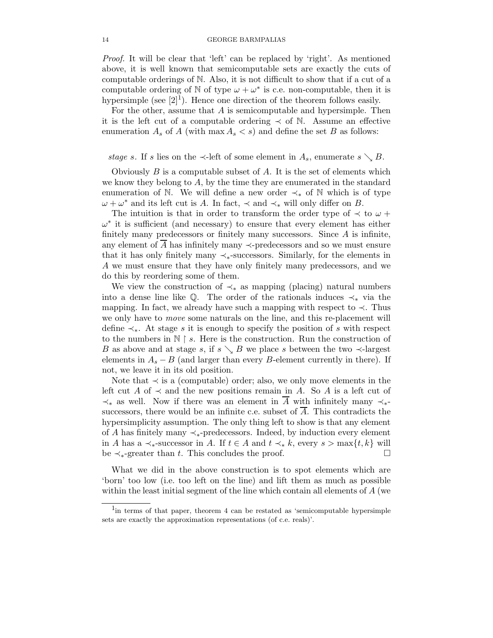Proof. It will be clear that 'left' can be replaced by 'right'. As mentioned above, it is well known that semicomputable sets are exactly the cuts of computable orderings of N. Also, it is not difficult to show that if a cut of a computable ordering of  $\mathbb N$  of type  $\omega + \omega^*$  is c.e. non-computable, then it is hypersimple (see  $[2]^1$ ). Hence one direction of the theorem follows easily.

For the other, assume that  $A$  is semicomputable and hypersimple. Then it is the left cut of a computable ordering ≺ of N. Assume an effective enumeration  $A_s$  of A (with max  $A_s < s$ ) and define the set B as follows:

### stage s. If s lies on the  $\prec$ -left of some element in  $A_s$ , enumerate  $s \searrow B$ .

Obviously  $B$  is a computable subset of  $A$ . It is the set of elements which we know they belong to  $A$ , by the time they are enumerated in the standard enumeration of N. We will define a new order  $\prec_{\ast}$  of N which is of type  $\omega + \omega^*$  and its left cut is A. In fact,  $\prec$  and  $\prec_*$  will only differ on B.

The intuition is that in order to transform the order type of  $\prec$  to  $\omega$  +  $\omega^*$  it is sufficient (and necessary) to ensure that every element has either finitely many predecessors or finitely many successors. Since  $A$  is infinite, any element of  $A$  has infinitely many  $\prec$ -predecessors and so we must ensure that it has only finitely many  $\prec_{*}$ -successors. Similarly, for the elements in A we must ensure that they have only finitely many predecessors, and we do this by reordering some of them.

We view the construction of  $\prec_{\ast}$  as mapping (placing) natural numbers into a dense line like  $\mathbb{Q}$ . The order of the rationals induces  $\prec_{\ast}$  via the mapping. In fact, we already have such a mapping with respect to  $\prec$ . Thus we only have to move some naturals on the line, and this re-placement will define  $\prec_{*}$ . At stage s it is enough to specify the position of s with respect to the numbers in  $\mathbb{N} \restriction s$ . Here is the construction. Run the construction of B as above and at stage s, if s  $\setminus$  B we place s between the two  $\prec$ -largest elements in  $A_s - B$  (and larger than every B-element currently in there). If not, we leave it in its old position.

Note that  $\prec$  is a (computable) order; also, we only move elements in the left cut A of  $\prec$  and the new positions remain in A. So A is a left cut of  $\prec_{\ast}$  as well. Now if there was an element in  $\overline{A}$  with infinitely many  $\prec_{\ast}$ successors, there would be an infinite c.e. subset of  $\overline{A}$ . This contradicts the hypersimplicity assumption. The only thing left to show is that any element of A has finitely many ≺∗-predecessors. Indeed, by induction every element in A has a  $\prec_{*}$ -successor in A. If  $t \in A$  and  $t \prec_{*} k$ , every  $s > \max\{t, k\}$  will be  $\prec_{*}$ -greater than t. This concludes the proof.

What we did in the above construction is to spot elements which are 'born' too low (i.e. too left on the line) and lift them as much as possible within the least initial segment of the line which contain all elements of  $A$  (we

<sup>&</sup>lt;sup>1</sup>in terms of that paper, theorem 4 can be restated as 'semicomputable hypersimple sets are exactly the approximation representations (of c.e. reals)'.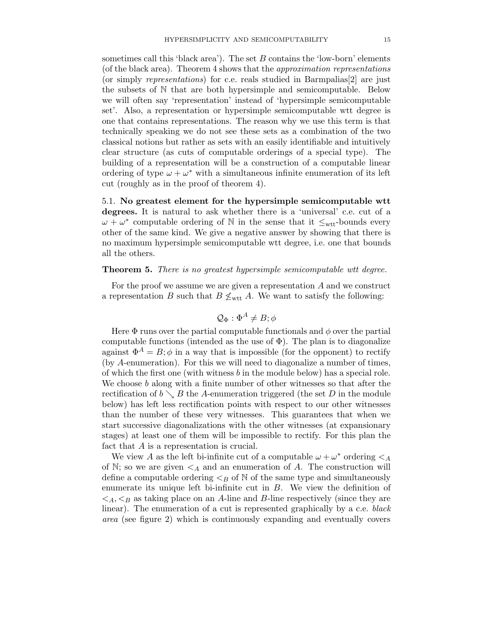sometimes call this 'black area'). The set  $B$  contains the 'low-born' elements (of the black area). Theorem 4 shows that the approximation representations (or simply representations) for c.e. reals studied in Barmpalias[2] are just the subsets of N that are both hypersimple and semicomputable. Below we will often say 'representation' instead of 'hypersimple semicomputable set'. Also, a representation or hypersimple semicomputable wtt degree is one that contains representations. The reason why we use this term is that technically speaking we do not see these sets as a combination of the two classical notions but rather as sets with an easily identifiable and intuitively clear structure (as cuts of computable orderings of a special type). The building of a representation will be a construction of a computable linear ordering of type  $\omega + \omega^*$  with a simultaneous infinite enumeration of its left cut (roughly as in the proof of theorem 4).

5.1. No greatest element for the hypersimple semicomputable wtt degrees. It is natural to ask whether there is a 'universal' c.e. cut of a  $\omega + \omega^*$  computable ordering of N in the sense that it  $\leq_{\text{wtt}}$ -bounds every other of the same kind. We give a negative answer by showing that there is no maximum hypersimple semicomputable wtt degree, i.e. one that bounds all the others.

# Theorem 5. There is no greatest hypersimple semicomputable wtt degree.

For the proof we assume we are given a representation A and we construct a representation B such that  $B \nleq_{\text{wtt}} A$ . We want to satisfy the following:

$$
\mathcal{Q}_\Phi: \Phi^A \neq B; \phi
$$

Here  $\Phi$  runs over the partial computable functionals and  $\phi$  over the partial computable functions (intended as the use of  $\Phi$ ). The plan is to diagonalize against  $\Phi^A = B$ ;  $\phi$  in a way that is impossible (for the opponent) to rectify (by A-enumeration). For this we will need to diagonalize a number of times, of which the first one (with witness  $b$  in the module below) has a special role. We choose b along with a finite number of other witnesses so that after the rectification of  $b \setminus B$  the A-enumeration triggered (the set D in the module below) has left less rectification points with respect to our other witnesses than the number of these very witnesses. This guarantees that when we start successive diagonalizations with the other witnesses (at expansionary stages) at least one of them will be impossible to rectify. For this plan the fact that A is a representation is crucial.

We view A as the left bi-infinite cut of a computable  $\omega + \omega^*$  ordering  $\leq_A$ of N; so we are given  $\leq_A$  and an enumeration of A. The construction will define a computable ordering  $\lt_B$  of N of the same type and simultaneously enumerate its unique left bi-infinite cut in  $B$ . We view the definition of  $\langle A, \langle B \rangle$  as taking place on an A-line and B-line respectively (since they are linear). The enumeration of a cut is represented graphically by a c.e. black area (see figure 2) which is continuously expanding and eventually covers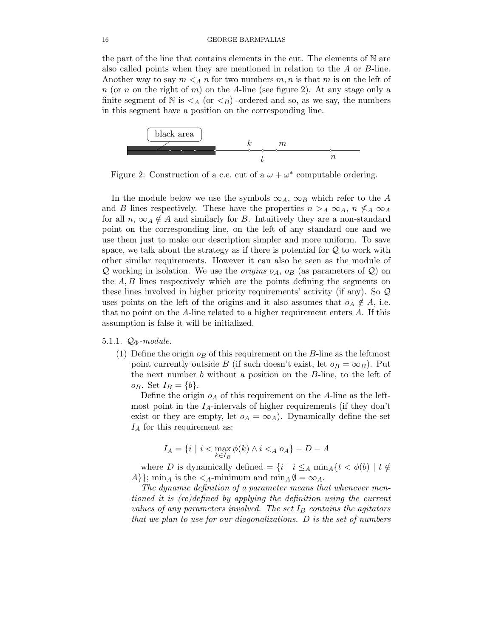the part of the line that contains elements in the cut. The elements of  $\mathbb N$  are also called points when they are mentioned in relation to the A or B-line. Another way to say  $m \leq_A n$  for two numbers  $m, n$  is that m is on the left of n (or n on the right of m) on the A-line (see figure 2). At any stage only a finite segment of N is  $\lt_A$  (or  $\lt_B$ ) -ordered and so, as we say, the numbers in this segment have a position on the corresponding line.



Figure 2: Construction of a c.e. cut of a  $\omega + \omega^*$  computable ordering.

In the module below we use the symbols  $\infty_A$ ,  $\infty_B$  which refer to the A and B lines respectively. These have the properties  $n > A \propto_A n \nleq_A \infty_A$ for all  $n, \infty_A \notin A$  and similarly for B. Intuitively they are a non-standard point on the corresponding line, on the left of any standard one and we use them just to make our description simpler and more uniform. To save space, we talk about the strategy as if there is potential for  $Q$  to work with other similar requirements. However it can also be seen as the module of Q working in isolation. We use the *origins*  $o_A$ *, o<sub>B</sub>* (as parameters of Q) on the  $A, B$  lines respectively which are the points defining the segments on these lines involved in higher priority requirements' activity (if any). So Q uses points on the left of the origins and it also assumes that  $o<sub>A</sub> \notin A$ , i.e. that no point on the  $A$ -line related to a higher requirement enters  $A$ . If this assumption is false it will be initialized.

## 5.1.1.  $\mathcal{Q}_{\Phi}$ -module.

(1) Define the origin  $\rho_B$  of this requirement on the B-line as the leftmost point currently outside B (if such doesn't exist, let  $o_B = \infty_B$ ). Put the next number  $b$  without a position on the  $B$ -line, to the left of  $o_B$ . Set  $I_B = \{b\}.$ 

Define the origin  $o<sub>A</sub>$  of this requirement on the A-line as the leftmost point in the  $I_A$ -intervals of higher requirements (if they don't exist or they are empty, let  $o_A = \infty_A$ ). Dynamically define the set  $I_A$  for this requirement as:

$$
I_A = \{i \mid i < \max_{k \in I_B} \phi(k) \land i <_A o_A\} - D - A
$$

where D is dynamically defined =  $\{i \mid i \leq_A \min_A \{t < \phi(b) \mid t \notin \mathcal{E}\}\$ A}}; min<sub>A</sub> is the  $\langle A_+$ -minimum and min<sub>A</sub> $\emptyset = \infty_A$ .

The dynamic definition of a parameter means that whenever mentioned it is (re)defined by applying the definition using the current values of any parameters involved. The set  $I_B$  contains the agitators that we plan to use for our diagonalizations. D is the set of numbers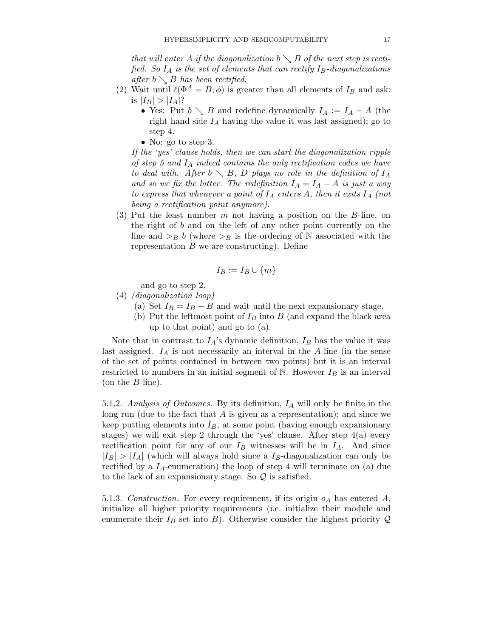that will enter A if the diagonalization  $b \setminus B$  of the next step is rectified. So  $I_A$  is the set of elements that can rectify  $I_B$ -diagonalizations after  $b \searrow B$  has been rectified.

- (2) Wait until  $\ell(\Phi^A = B; \phi)$  is greater than all elements of  $I_B$  and ask: is  $|I_B| > |I_A|$ ?
	- Yes: Put  $b \setminus B$  and redefine dynamically  $I_A := I_A A$  (the right hand side  $I_A$  having the value it was last assigned); go to step 4.
	- No: go to step 3.

If the 'yes' clause holds, then we can start the diagonalization ripple of step 5 and  $I_A$  indeed contains the only rectification codes we have to deal with. After  $b \setminus B$ , D plays no role in the definition of  $I_A$ and so we fix the latter. The redefinition  $I_A = I_A - A$  is just a way to express that whenever a point of  $I_A$  enters A, then it exits  $I_A$  (not being a rectification point anymore).

(3) Put the least number  $m$  not having a position on the  $B$ -line, on the right of b and on the left of any other point currently on the line and  $\geq_B b$  (where  $\geq_B$  is the ordering of N associated with the representation  $B$  we are constructing). Define

$$
I_B:=I_B\cup\{m\}
$$

and go to step 2.

- (4) (diagonalization loop)
	- (a) Set  $I_B = I_B B$  and wait until the next expansionary stage.
	- (b) Put the leftmost point of  $I_B$  into B (and expand the black area up to that point) and go to (a).

Note that in contrast to  $I_A$ 's dynamic definition,  $I_B$  has the value it was last assigned.  $I_A$  is not necessarily an interval in the A-line (in the sense of the set of points contained in between two points) but it is an interval restricted to numbers in an initial segment of  $N$ . However  $I_B$  is an interval (on the B-line).

5.1.2. Analysis of Outcomes. By its definition,  $I_A$  will only be finite in the long run (due to the fact that  $A$  is given as a representation); and since we keep putting elements into  $I_B$ , at some point (having enough expansionary stages) we will exit step 2 through the 'yes' clause. After step  $4(a)$  every rectification point for any of our  $I_B$  witnesses will be in  $I_A$ . And since  $|I_B| > |I_A|$  (which will always hold since a  $I_B$ -diagonalization can only be rectified by a  $I_A$ -enumeration) the loop of step 4 will terminate on (a) due to the lack of an expansionary stage. So Q is satisfied.

5.1.3. Construction. For every requirement, if its origin  $o<sub>A</sub>$  has entered A, initialize all higher priority requirements (i.e. initialize their module and enumerate their  $I_B$  set into B). Otherwise consider the highest priority Q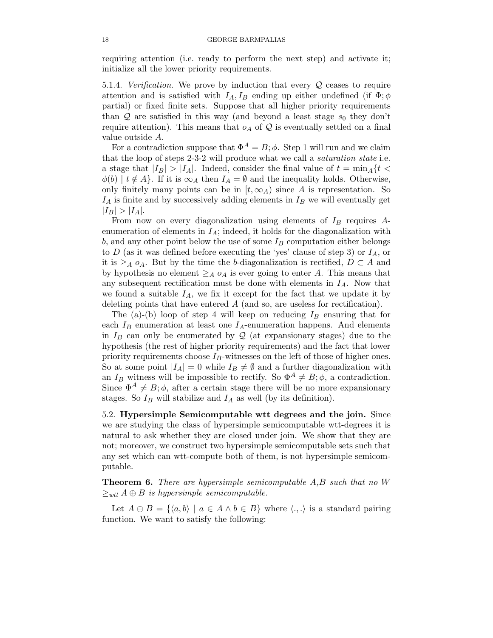requiring attention (i.e. ready to perform the next step) and activate it; initialize all the lower priority requirements.

5.1.4. Verification. We prove by induction that every  $Q$  ceases to require attention and is satisfied with  $I_A$ ,  $I_B$  ending up either undefined (if  $\Phi$ ;  $\phi$ partial) or fixed finite sets. Suppose that all higher priority requirements than  $Q$  are satisfied in this way (and beyond a least stage  $s_0$  they don't require attention). This means that  $o<sub>A</sub>$  of  $\mathcal Q$  is eventually settled on a final value outside A.

For a contradiction suppose that  $\Phi^A = B$ ;  $\phi$ . Step 1 will run and we claim that the loop of steps 2-3-2 will produce what we call a saturation state i.e. a stage that  $|I_B| > |I_A|$ . Indeed, consider the final value of  $t = \min_A \{t \leq t\}$  $\phi(b) \mid t \notin A$ . If it is  $\infty_A$  then  $I_A = \emptyset$  and the inequality holds. Otherwise, only finitely many points can be in  $[t, \infty_A)$  since A is representation. So  $I_A$  is finite and by successively adding elements in  $I_B$  we will eventually get  $|I_B| > |I_A|$ .

From now on every diagonalization using elements of  $I_B$  requires Aenumeration of elements in  $I_A$ ; indeed, it holds for the diagonalization with b, and any other point below the use of some  $I_B$  computation either belongs to D (as it was defined before executing the 'yes' clause of step 3) or  $I_A$ , or it is  $\geq_A$  o<sub>A</sub>. But by the time the b-diagonalization is rectified,  $D \subset A$  and by hypothesis no element  $\geq_A o_A$  is ever going to enter A. This means that any subsequent rectification must be done with elements in  $I_A$ . Now that we found a suitable  $I_A$ , we fix it except for the fact that we update it by deleting points that have entered A (and so, are useless for rectification).

The (a)-(b) loop of step 4 will keep on reducing  $I_B$  ensuring that for each  $I_B$  enumeration at least one  $I_A$ -enumeration happens. And elements in  $I_B$  can only be enumerated by  $\mathcal{Q}$  (at expansionary stages) due to the hypothesis (the rest of higher priority requirements) and the fact that lower priority requirements choose  $I_B$ -witnesses on the left of those of higher ones. So at some point  $|I_A| = 0$  while  $I_B \neq \emptyset$  and a further diagonalization with an  $I_B$  witness will be impossible to rectify. So  $\Phi^A \neq B$ ;  $\phi$ , a contradiction. Since  $\Phi^A \neq B$ ;  $\phi$ , after a certain stage there will be no more expansionary stages. So  $I_B$  will stabilize and  $I_A$  as well (by its definition).

5.2. Hypersimple Semicomputable wtt degrees and the join. Since we are studying the class of hypersimple semicomputable wtt-degrees it is natural to ask whether they are closed under join. We show that they are not; moreover, we construct two hypersimple semicomputable sets such that any set which can wtt-compute both of them, is not hypersimple semicomputable.

**Theorem 6.** There are hypersimple semicomputable  $A, B$  such that no  $W$  $\geq_{wtt} A \oplus B$  is hypersimple semicomputable.

Let  $A \oplus B = \{ \langle a,b \rangle \mid a \in A \land b \in B \}$  where  $\langle .,. \rangle$  is a standard pairing function. We want to satisfy the following: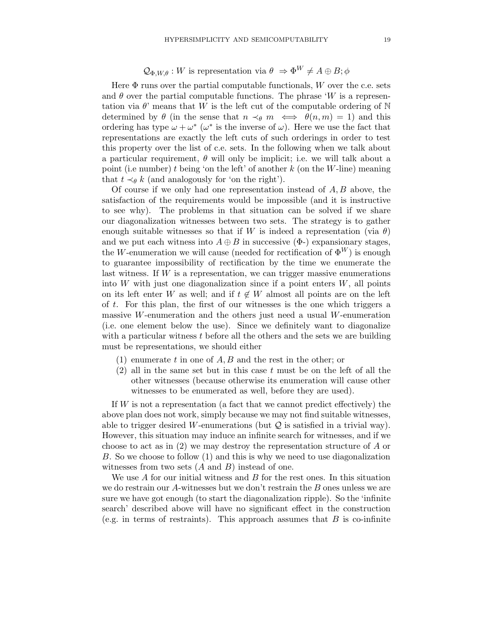# $\mathcal{Q}_{\Phi,W,\theta}: W$  is representation via  $\theta \Rightarrow \Phi^W \neq A \oplus B; \phi$

Here  $\Phi$  runs over the partial computable functionals, W over the c.e. sets and  $\theta$  over the partial computable functions. The phrase 'W is a representation via  $\theta$ ' means that W is the left cut of the computable ordering of N determined by  $\theta$  (in the sense that  $n \prec_{\theta} m \iff \theta(n,m) = 1$ ) and this ordering has type  $\omega + \omega^*$  ( $\omega^*$  is the inverse of  $\omega$ ). Here we use the fact that representations are exactly the left cuts of such orderings in order to test this property over the list of c.e. sets. In the following when we talk about a particular requirement,  $\theta$  will only be implicit; i.e. we will talk about a point (i.e number) t being 'on the left' of another  $k$  (on the W-line) meaning that  $t \prec_{\theta} k$  (and analogously for 'on the right').

Of course if we only had one representation instead of  $A, B$  above, the satisfaction of the requirements would be impossible (and it is instructive to see why). The problems in that situation can be solved if we share our diagonalization witnesses between two sets. The strategy is to gather enough suitable witnesses so that if W is indeed a representation (via  $\theta$ ) and we put each witness into  $A \oplus B$  in successive ( $\Phi$ -) expansionary stages, the W-enumeration we will cause (needed for rectification of  $\Phi^{W}$ ) is enough to guarantee impossibility of rectification by the time we enumerate the last witness. If  $W$  is a representation, we can trigger massive enumerations into  $W$  with just one diagonalization since if a point enters  $W$ , all points on its left enter W as well; and if  $t \notin W$  almost all points are on the left of  $t$ . For this plan, the first of our witnesses is the one which triggers a massive  $W$ -enumeration and the others just need a usual  $W$ -enumeration (i.e. one element below the use). Since we definitely want to diagonalize with a particular witness  $t$  before all the others and the sets we are building must be representations, we should either

- (1) enumerate t in one of  $A, B$  and the rest in the other; or
- $(2)$  all in the same set but in this case t must be on the left of all the other witnesses (because otherwise its enumeration will cause other witnesses to be enumerated as well, before they are used).

If  $W$  is not a representation (a fact that we cannot predict effectively) the above plan does not work, simply because we may not find suitable witnesses, able to trigger desired W-enumerations (but  $\mathcal Q$  is satisfied in a trivial way). However, this situation may induce an infinite search for witnesses, and if we choose to act as in (2) we may destroy the representation structure of A or B. So we choose to follow (1) and this is why we need to use diagonalization witnesses from two sets  $(A \text{ and } B)$  instead of one.

We use  $A$  for our initial witness and  $B$  for the rest ones. In this situation we do restrain our A-witnesses but we don't restrain the B ones unless we are sure we have got enough (to start the diagonalization ripple). So the 'infinite search' described above will have no significant effect in the construction (e.g. in terms of restraints). This approach assumes that  $B$  is co-infinite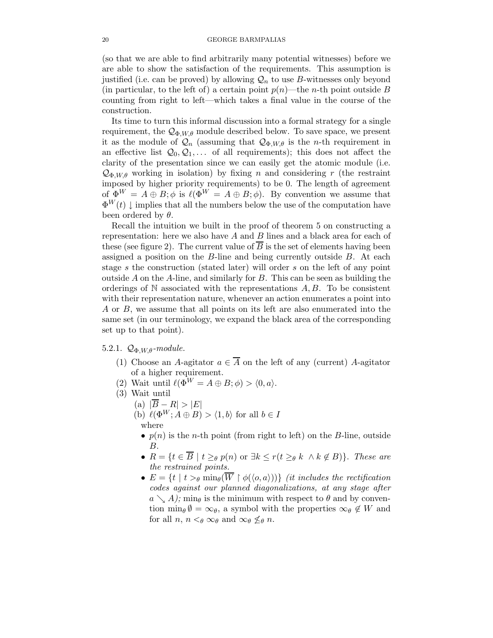(so that we are able to find arbitrarily many potential witnesses) before we are able to show the satisfaction of the requirements. This assumption is justified (i.e. can be proved) by allowing  $\mathcal{Q}_n$  to use B-witnesses only beyond (in particular, to the left of) a certain point  $p(n)$ —the n-th point outside B counting from right to left—which takes a final value in the course of the construction.

Its time to turn this informal discussion into a formal strategy for a single requirement, the  $\mathcal{Q}_{\Phi, W, \theta}$  module described below. To save space, we present it as the module of  $\mathcal{Q}_n$  (assuming that  $\mathcal{Q}_{\Phi,W,\theta}$  is the *n*-th requirement in an effective list  $Q_0, Q_1, \ldots$  of all requirements); this does not affect the clarity of the presentation since we can easily get the atomic module (i.e.  $\mathcal{Q}_{\Phi W\theta}$  working in isolation) by fixing n and considering r (the restraint imposed by higher priority requirements) to be 0. The length of agreement of  $\Phi^W = A \oplus B$ ;  $\phi$  is  $\ell(\Phi^W = A \oplus B; \phi)$ . By convention we assume that  $\Phi^{W}(t)$   $\downarrow$  implies that all the numbers below the use of the computation have been ordered by  $\theta$ .

Recall the intuition we built in the proof of theorem 5 on constructing a representation: here we also have A and B lines and a black area for each of these (see figure 2). The current value of  $\overline{B}$  is the set of elements having been assigned a position on the  $B$ -line and being currently outside  $B$ . At each stage s the construction (stated later) will order s on the left of any point outside  $A$  on the  $A$ -line, and similarly for  $B$ . This can be seen as building the orderings of  $\mathbb N$  associated with the representations  $A, B$ . To be consistent with their representation nature, whenever an action enumerates a point into A or B, we assume that all points on its left are also enumerated into the same set (in our terminology, we expand the black area of the corresponding set up to that point).

## 5.2.1.  $\mathcal{Q}_{\Phi,W,\theta}$ -module.

- (1) Choose an A-agitator  $a \in \overline{A}$  on the left of any (current) A-agitator of a higher requirement.
- (2) Wait until  $\ell(\overline{\Phi^W} = A \oplus B; \phi) > \langle 0, a \rangle$ .
- (3) Wait until
	- (a)  $|\overline{B} R| > |E|$
	- (b)  $\ell(\Phi^W; A \oplus B) > \langle 1, b \rangle$  for all  $b \in I$ where
		- $p(n)$  is the *n*-th point (from right to left) on the *B*-line, outside B.
		- $R = \{t \in \overline{B} \mid t \geq_{\theta} p(n) \text{ or } \exists k \leq r (t \geq_{\theta} k \land k \notin B) \}.$  These are the restrained points.
		- $E = \{t \mid t >_\theta \min_\theta(\overline{W} \restriction \phi(\langle o, a \rangle))\}$  (it includes the rectification codes against our planned diagonalizations, at any stage after  $a \setminus A$ ; min<sub>θ</sub> is the minimum with respect to  $\theta$  and by convention min $_{\theta}$  $\emptyset = \infty_{\theta}$ , a symbol with the properties  $\infty_{\theta} \notin W$  and for all  $n, n <_{\theta} \infty_{\theta}$  and  $\infty_{\theta} \nleq_{\theta} n$ .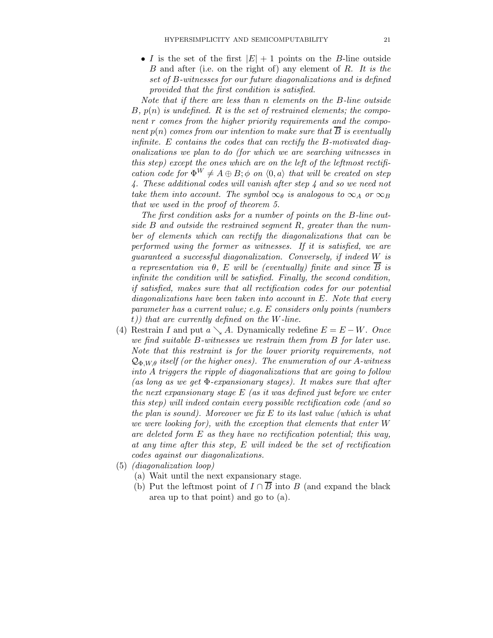• I is the set of the first  $|E| + 1$  points on the B-line outside B and after (i.e. on the right of) any element of R. It is the set of B-witnesses for our future diagonalizations and is defined provided that the first condition is satisfied.

Note that if there are less than n elements on the B-line outside  $B, p(n)$  is undefined. R is the set of restrained elements; the component r comes from the higher priority requirements and the component  $p(n)$  comes from our intention to make sure that B is eventually infinite. E contains the codes that can rectify the  $B$ -motivated diagonalizations we plan to do (for which we are searching witnesses in this step) except the ones which are on the left of the leftmost rectification code for  $\Phi^W \neq A \oplus B$ ;  $\phi$  on  $\langle 0, a \rangle$  that will be created on step 4. These additional codes will vanish after step 4 and so we need not take them into account. The symbol  $\infty_{\theta}$  is analogous to  $\infty_A$  or  $\infty_B$ that we used in the proof of theorem 5.

The first condition asks for a number of points on the B-line outside  $B$  and outside the restrained segment  $R$ , greater than the number of elements which can rectify the diagonalizations that can be performed using the former as witnesses. If it is satisfied, we are guaranteed a successful diagonalization. Conversely, if indeed W is a representation via  $\theta$ , E will be (eventually) finite and since  $\overline{B}$  is infinite the condition will be satisfied. Finally, the second condition, if satisfied, makes sure that all rectification codes for our potential diagonalizations have been taken into account in E. Note that every parameter has a current value; e.g. E considers only points (numbers  $t)$ ) that are currently defined on the W-line.

- (4) Restrain I and put  $a \setminus A$ . Dynamically redefine  $E = E W$ . Once we find suitable B-witnesses we restrain them from B for later use. Note that this restraint is for the lower priority requirements, not  $\mathcal{Q}_{\Phi,W,\theta}$  itself (or the higher ones). The enumeration of our A-witness into A triggers the ripple of diagonalizations that are going to follow (as long as we get  $\Phi$ -expansionary stages). It makes sure that after the next expansionary stage  $E$  (as it was defined just before we enter this step) will indeed contain every possible rectification code (and so the plan is sound). Moreover we fix  $E$  to its last value (which is what we were looking for), with the exception that elements that enter W are deleted form  $E$  as they have no rectification potential; this way, at any time after this step, E will indeed be the set of rectification codes against our diagonalizations.
- (5) (diagonalization loop)
	- (a) Wait until the next expansionary stage.
	- (b) Put the leftmost point of  $I \cap \overline{B}$  into B (and expand the black area up to that point) and go to (a).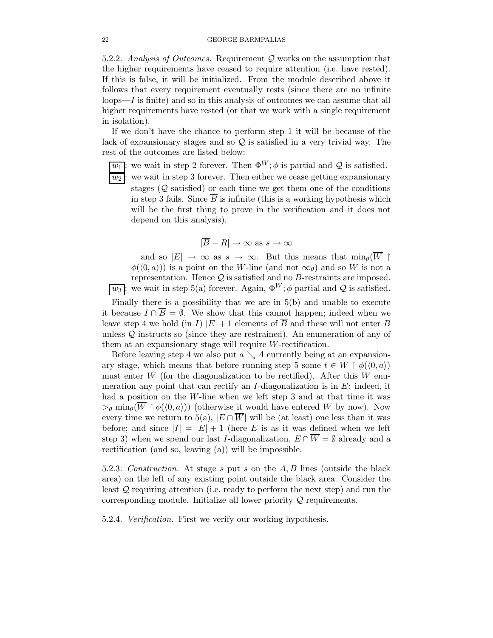5.2.2. Analysis of Outcomes. Requirement Q works on the assumption that the higher requirements have ceased to require attention (i.e. have rested). If this is false, it will be initialized. From the module described above it follows that every requirement eventually rests (since there are no infinite loops—I is finite) and so in this analysis of outcomes we can assume that all higher requirements have rested (or that we work with a single requirement in isolation).

If we don't have the chance to perform step 1 it will be because of the lack of expansionary stages and so  $\mathcal Q$  is satisfied in a very trivial way. The rest of the outcomes are listed below:



 $\overline{w_1}$ : we wait in step 2 forever. Then  $\Phi^W$ ;  $\phi$  is partial and Q is satisfied.

 $\overline{w_2}$ : we wait in step 3 forever. Then either we cease getting expansionary stages  $(Q)$  satisfied) or each time we get them one of the conditions in step 3 fails. Since  $\overline{B}$  is infinite (this is a working hypothesis which will be the first thing to prove in the verification and it does not depend on this analysis),

$$
|\overline{B} - R| \to \infty \text{ as } s \to \infty
$$

and so  $|E| \to \infty$  as  $s \to \infty$ . But this means that  $\min_{\theta}(\overline{W})$  $\phi(\langle 0, a \rangle)$  is a point on the W-line (and not  $\infty_{\theta}$ ) and so W is not a representation. Hence  $Q$  is satisfied and no  $B$ -restraints are imposed.  $w_3$ : we wait in step 5(a) forever. Again,  $\Phi^W$ ;  $\phi$  partial and Q is satisfied.

Finally there is a possibility that we are in 5(b) and unable to execute it because  $I \cap \overline{B} = \emptyset$ . We show that this cannot happen; indeed when we leave step 4 we hold (in I)  $|E|+1$  elements of  $\overline{B}$  and these will not enter B unless  $Q$  instructs so (since they are restrained). An enumeration of any of them at an expansionary stage will require W-rectification.

Before leaving step 4 we also put  $a \setminus A$  currently being at an expansionary stage, which means that before running step 5 some  $t \in \overline{W} \restriction \phi(\langle 0, a \rangle)$ must enter W (for the diagonalization to be rectified). After this  $W$  enumeration any point that can rectify an I-diagonalization is in  $E$ : indeed, it had a position on the W-line when we left step 3 and at that time it was  $\Rightarrow_{\theta} \min_{\theta}(\overline{W} \restriction \phi(\langle 0, a \rangle))$  (otherwise it would have entered W by now). Now every time we return to 5(a),  $|E \cap \overline{W}|$  will be (at least) one less than it was before; and since  $|I| = |E| + 1$  (here E is as it was defined when we left step 3) when we spend our last I-diagonalization,  $E \cap \overline{W} = \emptyset$  already and a rectification (and so, leaving (a)) will be impossible.

5.2.3. Construction. At stage s put s on the A,B lines (outside the black area) on the left of any existing point outside the black area. Consider the least Q requiring attention (i.e. ready to perform the next step) and run the corresponding module. Initialize all lower priority Q requirements.

5.2.4. Verification. First we verify our working hypothesis.